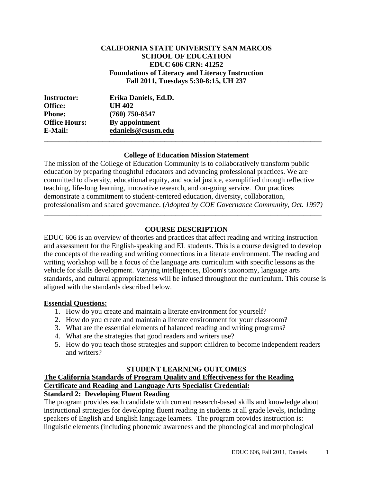## **CALIFORNIA STATE UNIVERSITY SAN MARCOS SCHOOL OF EDUCATION EDUC 606 CRN: 41252 Foundations of Literacy and Literacy Instruction Fall 2011, Tuesdays 5:30-8:15, UH 237**

| <b>Instructor:</b>   | Erika Daniels, Ed.D. |  |
|----------------------|----------------------|--|
| <b>Office:</b>       | <b>UH 402</b>        |  |
| <b>Phone:</b>        | $(760)$ 750-8547     |  |
| <b>Office Hours:</b> | By appointment       |  |
| E-Mail:              | edaniels@csusm.edu   |  |
|                      |                      |  |

### **College of Education Mission Statement**

The mission of the College of Education Community is to collaboratively transform public education by preparing thoughtful educators and advancing professional practices. We are committed to diversity, educational equity, and social justice, exemplified through reflective teaching, life-long learning, innovative research, and on-going service. Our practices demonstrate a commitment to student-centered education, diversity, collaboration, professionalism and shared governance. (*Adopted by COE Governance Community, Oct. 1997)* 

\_\_\_\_\_\_\_\_\_\_\_\_\_\_\_\_\_\_\_\_\_\_\_\_\_\_\_\_\_\_\_\_\_\_\_\_\_\_\_\_\_\_\_\_\_\_\_\_\_\_\_\_\_\_\_\_\_\_\_\_\_\_\_\_\_\_\_\_\_\_\_\_\_\_\_\_

## **COURSE DESCRIPTION**

EDUC 606 is an overview of theories and practices that affect reading and writing instruction and assessment for the English-speaking and EL students. This is a course designed to develop the concepts of the reading and writing connections in a literate environment. The reading and writing workshop will be a focus of the language arts curriculum with specific lessons as the vehicle for skills development. Varying intelligences, Bloom's taxonomy, language arts standards, and cultural appropriateness will be infused throughout the curriculum. This course is aligned with the standards described below.

### **Essential Questions:**

- 1. How do you create and maintain a literate environment for yourself?
- 2. How do you create and maintain a literate environment for your classroom?
- 3. What are the essential elements of balanced reading and writing programs?
- 4. What are the strategies that good readers and writers use?
- 5. How do you teach those strategies and support children to become independent readers and writers?

#### **STUDENT LEARNING OUTCOMES**

# **The California Standards of Program Quality and Effectiveness for the Reading Certificate and Reading and Language Arts Specialist Credential:**

# **Standard 2: Developing Fluent Reading**

The program provides each candidate with current research-based skills and knowledge about instructional strategies for developing fluent reading in students at all grade levels, including speakers of English and English language learners. The program provides instruction is: linguistic elements (including phonemic awareness and the phonological and morphological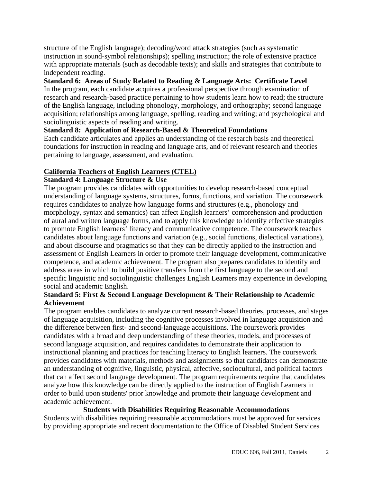structure of the English language); decoding/word attack strategies (such as systematic instruction in sound-symbol relationships); spelling instruction; the role of extensive practice with appropriate materials (such as decodable texts); and skills and strategies that contribute to independent reading.

## **Standard 6: Areas of Study Related to Reading & Language Arts: Certificate Level**

In the program, each candidate acquires a professional perspective through examination of research and research-based practice pertaining to how students learn how to read; the structure of the English language, including phonology, morphology, and orthography; second language acquisition; relationships among language, spelling, reading and writing; and psychological and sociolinguistic aspects of reading and writing.

# **Standard 8: Application of Research-Based & Theoretical Foundations**

Each candidate articulates and applies an understanding of the research basis and theoretical foundations for instruction in reading and language arts, and of relevant research and theories pertaining to language, assessment, and evaluation.

## **California Teachers of English Learners (CTEL)**

### **Standard 4: Language Structure & Use**

The program provides candidates with opportunities to develop research-based conceptual understanding of language systems, structures, forms, functions, and variation. The coursework requires candidates to analyze how language forms and structures (e.g., phonology and morphology, syntax and semantics) can affect English learners' comprehension and production of aural and written language forms, and to apply this knowledge to identify effective strategies to promote English learners' literacy and communicative competence. The coursework teaches candidates about language functions and variation (e.g., social functions, dialectical variations), and about discourse and pragmatics so that they can be directly applied to the instruction and assessment of English Learners in order to promote their language development, communicative competence, and academic achievement. The program also prepares candidates to identify and address areas in which to build positive transfers from the first language to the second and specific linguistic and sociolinguistic challenges English Learners may experience in developing social and academic English.

## **Standard 5: First & Second Language Development & Their Relationship to Academic Achievement**

The program enables candidates to analyze current research-based theories, processes, and stages of language acquisition, including the cognitive processes involved in language acquisition and the difference between first- and second-language acquisitions. The coursework provides candidates with a broad and deep understanding of these theories, models, and processes of second language acquisition, and requires candidates to demonstrate their application to instructional planning and practices for teaching literacy to English learners. The coursework provides candidates with materials, methods and assignments so that candidates can demonstrate an understanding of cognitive, linguistic, physical, affective, sociocultural, and political factors that can affect second language development. The program requirements require that candidates analyze how this knowledge can be directly applied to the instruction of English Learners in order to build upon students' prior knowledge and promote their language development and academic achievement.

### **Students with Disabilities Requiring Reasonable Accommodations**

Students with disabilities requiring reasonable accommodations must be approved for services by providing appropriate and recent documentation to the Office of Disabled Student Services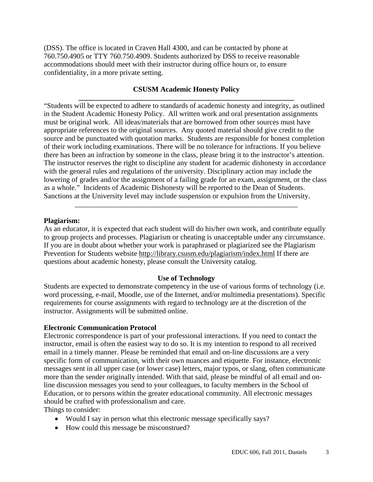(DSS). The office is located in Craven Hall 4300, and can be contacted by phone at 760.750.4905 or TTY 760.750.4909. Students authorized by DSS to receive reasonable accommodations should meet with their instructor during office hours or, to ensure confidentiality, in a more private setting.

## **CSUSM Academic Honesty Policy**

**\_\_\_\_\_\_\_\_\_\_\_\_\_\_\_\_\_\_\_\_\_\_\_\_\_\_\_\_\_\_\_\_\_\_\_\_\_\_\_\_\_\_\_\_\_\_\_\_\_\_\_\_\_\_\_\_\_\_\_**  "Students will be expected to adhere to standards of academic honesty and integrity, as outlined in the Student Academic Honesty Policy. All written work and oral presentation assignments must be original work. All ideas/materials that are borrowed from other sources must have appropriate references to the original sources. Any quoted material should give credit to the source and be punctuated with quotation marks. Students are responsible for honest completion of their work including examinations. There will be no tolerance for infractions. If you believe there has been an infraction by someone in the class, please bring it to the instructor's attention. The instructor reserves the right to discipline any student for academic dishonesty in accordance with the general rules and regulations of the university. Disciplinary action may include the lowering of grades and/or the assignment of a failing grade for an exam, assignment, or the class as a whole." Incidents of Academic Dishonesty will be reported to the Dean of Students. Sanctions at the University level may include suspension or expulsion from the University.

#### **Plagiarism:**

As an educator, it is expected that each student will do his/her own work, and contribute equally to group projects and processes. Plagiarism or cheating is unacceptable under any circumstance. If you are in doubt about whether your work is paraphrased or plagiarized see the Plagiarism Prevention for Students website http://library.csusm.edu/plagiarism/index.html If there are questions about academic honesty, please consult the University catalog.

\_\_\_\_\_\_\_\_\_\_\_\_\_\_\_\_\_\_\_\_\_\_\_\_\_\_\_\_\_\_\_\_\_\_\_\_\_\_\_\_\_\_\_\_\_\_\_\_\_\_\_\_\_\_\_\_\_\_\_\_\_

#### **Use of Technology**

Students are expected to demonstrate competency in the use of various forms of technology (i.e. word processing, e-mail, Moodle, use of the Internet, and/or multimedia presentations). Specific requirements for course assignments with regard to technology are at the discretion of the instructor. Assignments will be submitted online.

#### **Electronic Communication Protocol**

Electronic correspondence is part of your professional interactions. If you need to contact the instructor, email is often the easiest way to do so. It is my intention to respond to all received email in a timely manner. Please be reminded that email and on-line discussions are a very specific form of communication, with their own nuances and etiquette. For instance, electronic messages sent in all upper case (or lower case) letters, major typos, or slang, often communicate more than the sender originally intended. With that said, please be mindful of all email and online discussion messages you send to your colleagues, to faculty members in the School of Education, or to persons within the greater educational community. All electronic messages should be crafted with professionalism and care.

Things to consider:

- Would I say in person what this electronic message specifically says?
- How could this message be misconstrued?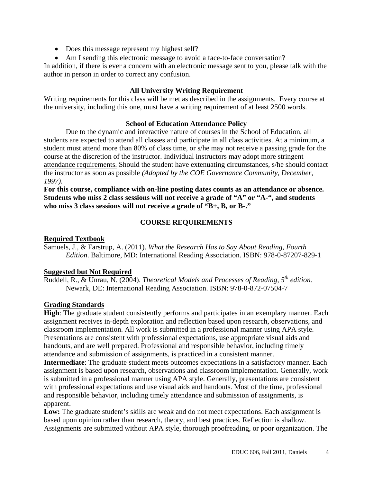- Does this message represent my highest self?
- Am I sending this electronic message to avoid a face-to-face conversation?

In addition, if there is ever a concern with an electronic message sent to you, please talk with the author in person in order to correct any confusion.

## **All University Writing Requirement**

Writing requirements for this class will be met as described in the assignments. Every course at the university, including this one, must have a writing requirement of at least 2500 words.

### **School of Education Attendance Policy**

Due to the dynamic and interactive nature of courses in the School of Education, all students are expected to attend all classes and participate in all class activities. At a minimum, a student must attend more than 80% of class time, or s/he may not receive a passing grade for the course at the discretion of the instructor. Individual instructors may adopt more stringent attendance requirements. Should the student have extenuating circumstances, s/he should contact the instructor as soon as possible *(Adopted by the COE Governance Community, December, 1997)*.

**For this course, compliance with on-line posting dates counts as an attendance or absence. Students who miss 2 class sessions will not receive a grade of "A" or "A-", and students who miss 3 class sessions will not receive a grade of "B+, B, or B-."** 

## **COURSE REQUIREMENTS**

## **Required Textbook**

Samuels, J., & Farstrup, A. (2011). *What the Research Has to Say About Reading, Fourth Edition*. Baltimore, MD: International Reading Association. ISBN: 978-0-87207-829-1

### **Suggested but Not Required**

 Ruddell, R., & Unrau, N. (2004). *Theoretical Models and Processes of Reading, 5th edition.* Newark, DE: International Reading Association. ISBN: 978-0-872-07504-7

### **Grading Standards**

**High**: The graduate student consistently performs and participates in an exemplary manner. Each assignment receives in-depth exploration and reflection based upon research, observations, and classroom implementation. All work is submitted in a professional manner using APA style. Presentations are consistent with professional expectations, use appropriate visual aids and handouts, and are well prepared. Professional and responsible behavior, including timely attendance and submission of assignments, is practiced in a consistent manner.

**Intermediate**: The graduate student meets outcomes expectations in a satisfactory manner. Each assignment is based upon research, observations and classroom implementation. Generally, work is submitted in a professional manner using APA style. Generally, presentations are consistent with professional expectations and use visual aids and handouts. Most of the time, professional and responsible behavior, including timely attendance and submission of assignments, is apparent.

Low: The graduate student's skills are weak and do not meet expectations. Each assignment is based upon opinion rather than research, theory, and best practices. Reflection is shallow. Assignments are submitted without APA style, thorough proofreading, or poor organization. The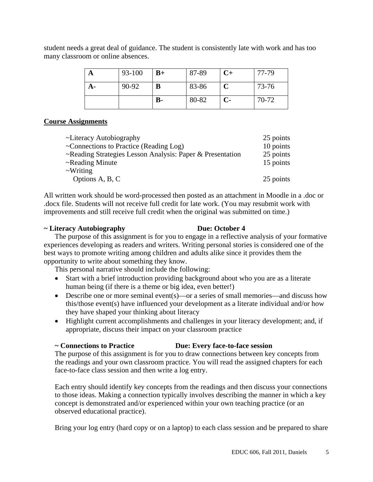student needs a great deal of guidance. The student is consistently late with work and has too many classroom or online absences.

| 93-100 | $B+$           | 87-89 | $C+$ | 77-79 |
|--------|----------------|-------|------|-------|
| 90-92  | B              | 83-86 |      | 73-76 |
|        | $\mathbf{B}$ - | 80-82 | $C-$ | 70-72 |

### **Course Assignments**

| ~Literacy Autobiography                                   | 25 points |  |
|-----------------------------------------------------------|-----------|--|
| ~Connections to Practice (Reading Log)                    | 10 points |  |
| ~Reading Strategies Lesson Analysis: Paper & Presentation | 25 points |  |
| $\sim$ Reading Minute                                     | 15 points |  |
| $\sim$ Writing                                            |           |  |
| Options A, B, C                                           | 25 points |  |

All written work should be word-processed then posted as an attachment in Moodle in a .doc or .docx file. Students will not receive full credit for late work. (You may resubmit work with improvements and still receive full credit when the original was submitted on time.)

#### **~ Literacy Autobiography Due: October 4**

The purpose of this assignment is for you to engage in a reflective analysis of your formative experiences developing as readers and writers. Writing personal stories is considered one of the best ways to promote writing among children and adults alike since it provides them the opportunity to write about something they know.

This personal narrative should include the following:

- Start with a brief introduction providing background about who you are as a literate human being (if there is a theme or big idea, even better!)
- Describe one or more seminal event(s)—or a series of small memories—and discuss how this/those event(s) have influenced your development as a literate individual and/or how they have shaped your thinking about literacy
- Highlight current accomplishments and challenges in your literacy development; and, if appropriate, discuss their impact on your classroom practice

### **~ Connections to Practice Due: Every face-to-face session**

The purpose of this assignment is for you to draw connections between key concepts from the readings and your own classroom practice. You will read the assigned chapters for each face-to-face class session and then write a log entry.

Each entry should identify key concepts from the readings and then discuss your connections to those ideas. Making a connection typically involves describing the manner in which a key concept is demonstrated and/or experienced within your own teaching practice (or an observed educational practice).

Bring your log entry (hard copy or on a laptop) to each class session and be prepared to share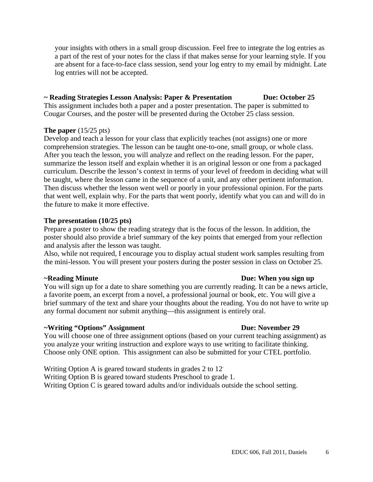your insights with others in a small group discussion. Feel free to integrate the log entries as a part of the rest of your notes for the class if that makes sense for your learning style. If you are absent for a face-to-face class session, send your log entry to my email by midnight. Late log entries will not be accepted.

# **~ Reading Strategies Lesson Analysis: Paper & Presentation Due: October 25**

This assignment includes both a paper and a poster presentation. The paper is submitted to Cougar Courses, and the poster will be presented during the October 25 class session.

## **The paper** (15/25 pts)

Develop and teach a lesson for your class that explicitly teaches (not assigns) one or more comprehension strategies. The lesson can be taught one-to-one, small group, or whole class. After you teach the lesson, you will analyze and reflect on the reading lesson. For the paper, summarize the lesson itself and explain whether it is an original lesson or one from a packaged curriculum. Describe the lesson's context in terms of your level of freedom in deciding what will be taught, where the lesson came in the sequence of a unit, and any other pertinent information. Then discuss whether the lesson went well or poorly in your professional opinion. For the parts that went well, explain why. For the parts that went poorly, identify what you can and will do in the future to make it more effective.

### **The presentation (10/25 pts)**

Prepare a poster to show the reading strategy that is the focus of the lesson. In addition, the poster should also provide a brief summary of the key points that emerged from your reflection and analysis after the lesson was taught.

Also, while not required, I encourage you to display actual student work samples resulting from the mini-lesson. You will present your posters during the poster session in class on October 25.

You will sign up for a date to share something you are currently reading. It can be a news article, a favorite poem, an excerpt from a novel, a professional journal or book, etc. You will give a brief summary of the text and share your thoughts about the reading. You do not have to write up any formal document nor submit anything—this assignment is entirely oral.

# **~Writing "Options" Assignment Due: November 29**

You will choose one of three assignment options (based on your current teaching assignment) as you analyze your writing instruction and explore ways to use writing to facilitate thinking. Choose only ONE option. This assignment can also be submitted for your CTEL portfolio.

Writing Option A is geared toward students in grades 2 to 12.

Writing Option B is geared toward students Preschool to grade 1.

Writing Option C is geared toward adults and/or individuals outside the school setting.

### **~Reading Minute Due: When you sign up**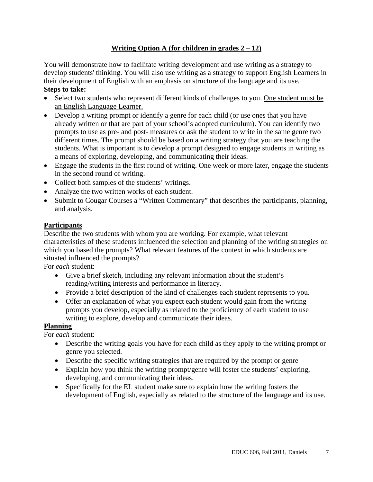# **Writing Option A (for children in grades 2 – 12)**

You will demonstrate how to facilitate writing development and use writing as a strategy to develop students' thinking. You will also use writing as a strategy to support English Learners in their development of English with an emphasis on structure of the language and its use. **Steps to take:** 

- Select two students who represent different kinds of challenges to you. One student must be an English Language Learner.
- Develop a writing prompt or identify a genre for each child (or use ones that you have already written or that are part of your school's adopted curriculum). You can identify two prompts to use as pre- and post- measures or ask the student to write in the same genre two different times. The prompt should be based on a writing strategy that you are teaching the students. What is important is to develop a prompt designed to engage students in writing as a means of exploring, developing, and communicating their ideas.
- Engage the students in the first round of writing. One week or more later, engage the students in the second round of writing.
- Collect both samples of the students' writings.
- Analyze the two written works of each student.
- Submit to Cougar Courses a "Written Commentary" that describes the participants, planning, and analysis.

# **Participants**

Describe the two students with whom you are working. For example, what relevant characteristics of these students influenced the selection and planning of the writing strategies on which you based the prompts? What relevant features of the context in which students are situated influenced the prompts?

For *each* student:

- Give a brief sketch, including any relevant information about the student's reading/writing interests and performance in literacy.
- Provide a brief description of the kind of challenges each student represents to you.
- Offer an explanation of what you expect each student would gain from the writing prompts you develop, especially as related to the proficiency of each student to use writing to explore, develop and communicate their ideas.

# **Planning**

For *each* student:

- Describe the writing goals you have for each child as they apply to the writing prompt or genre you selected.
- Describe the specific writing strategies that are required by the prompt or genre
- Explain how you think the writing prompt/genre will foster the students' exploring, developing, and communicating their ideas.
- Specifically for the EL student make sure to explain how the writing fosters the development of English, especially as related to the structure of the language and its use.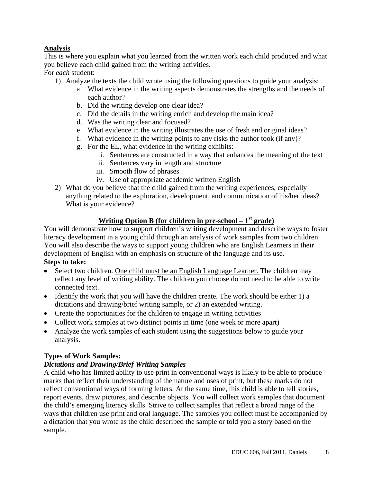# **Analysis**

This is where you explain what you learned from the written work each child produced and what you believe each child gained from the writing activities.

For *each* student:

- 1) Analyze the texts the child wrote using the following questions to guide your analysis:
	- a. What evidence in the writing aspects demonstrates the strengths and the needs of each author?
	- b. Did the writing develop one clear idea?
	- c. Did the details in the writing enrich and develop the main idea?
	- d. Was the writing clear and focused?
	- e. What evidence in the writing illustrates the use of fresh and original ideas?
	- f. What evidence in the writing points to any risks the author took (if any)?
	- g. For the EL, what evidence in the writing exhibits:
		- i. Sentences are constructed in a way that enhances the meaning of the text
		- ii. Sentences vary in length and structure
		- iii. Smooth flow of phrases
		- iv. Use of appropriate academic written English
- 2) What do you believe that the child gained from the writing experiences, especially anything related to the exploration, development, and communication of his/her ideas? What is your evidence?

# **Writing Option B (for children in pre-school – 1st grade)**

You will demonstrate how to support children's writing development and describe ways to foster literacy development in a young child through an analysis of work samples from two children. You will also describe the ways to support young children who are English Learners in their development of English with an emphasis on structure of the language and its use. **Steps to take:** 

- Select two children. One child must be an English Language Learner. The children may reflect any level of writing ability. The children you choose do not need to be able to write connected text.
- Identify the work that you will have the children create. The work should be either 1) a dictations and drawing/brief writing sample, or 2) an extended writing.
- Create the opportunities for the children to engage in writing activities
- Collect work samples at two distinct points in time (one week or more apart)
- Analyze the work samples of each student using the suggestions below to guide your analysis.

# **Types of Work Samples:**

# *Dictations and Drawing/Brief Writing Samples*

A child who has limited ability to use print in conventional ways is likely to be able to produce marks that reflect their understanding of the nature and uses of print, but these marks do not reflect conventional ways of forming letters. At the same time, this child is able to tell stories, report events, draw pictures, and describe objects. You will collect work samples that document the child's emerging literacy skills. Strive to collect samples that reflect a broad range of the ways that children use print and oral language. The samples you collect must be accompanied by a dictation that you wrote as the child described the sample or told you a story based on the sample.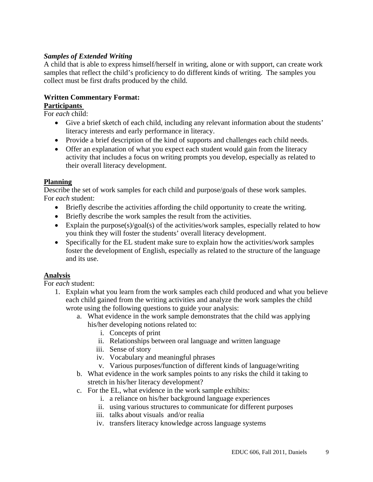# *Samples of Extended Writing*

A child that is able to express himself/herself in writing, alone or with support, can create work samples that reflect the child's proficiency to do different kinds of writing. The samples you collect must be first drafts produced by the child.

# **Written Commentary Format:**

## **Participants**

For *each* child:

- Give a brief sketch of each child, including any relevant information about the students' literacy interests and early performance in literacy.
- Provide a brief description of the kind of supports and challenges each child needs.
- Offer an explanation of what you expect each student would gain from the literacy activity that includes a focus on writing prompts you develop, especially as related to their overall literacy development.

# **Planning**

Describe the set of work samples for each child and purpose/goals of these work samples. For *each* student:

- Briefly describe the activities affording the child opportunity to create the writing.
- Briefly describe the work samples the result from the activities.
- Explain the purpose(s)/goal(s) of the activities/work samples, especially related to how you think they will foster the students' overall literacy development.
- Specifically for the EL student make sure to explain how the activities/work samples foster the development of English, especially as related to the structure of the language and its use.

# **Analysis**

For *each* student:

- 1. Explain what you learn from the work samples each child produced and what you believe each child gained from the writing activities and analyze the work samples the child wrote using the following questions to guide your analysis:
	- a. What evidence in the work sample demonstrates that the child was applying his/her developing notions related to:
		- i. Concepts of print
		- ii. Relationships between oral language and written language
		- iii. Sense of story
		- iv. Vocabulary and meaningful phrases
		- v. Various purposes/function of different kinds of language/writing
	- b. What evidence in the work samples points to any risks the child it taking to stretch in his/her literacy development?
	- c. For the EL, what evidence in the work sample exhibits:
		- i. a reliance on his/her background language experiences
		- ii. using various structures to communicate for different purposes
		- iii. talks about visuals and/or realia
		- iv. transfers literacy knowledge across language systems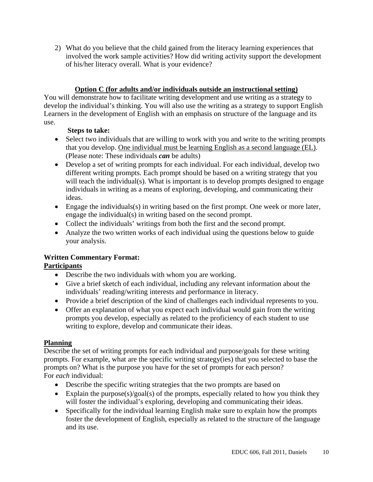2) What do you believe that the child gained from the literacy learning experiences that involved the work sample activities? How did writing activity support the development of his/her literacy overall. What is your evidence?

# **Option C (for adults and/or individuals outside an instructional setting)**

You will demonstrate how to facilitate writing development and use writing as a strategy to develop the individual's thinking. You will also use the writing as a strategy to support English Learners in the development of English with an emphasis on structure of the language and its use.

# **Steps to take:**

- Select two individuals that are willing to work with you and write to the writing prompts that you develop. One individual must be learning English as a second language (EL). (Please note: These individuals *can* be adults)
- Develop a set of writing prompts for each individual. For each individual, develop two different writing prompts. Each prompt should be based on a writing strategy that you will teach the individual(s). What is important is to develop prompts designed to engage individuals in writing as a means of exploring, developing, and communicating their ideas.
- Engage the individuals(s) in writing based on the first prompt. One week or more later, engage the individual(s) in writing based on the second prompt.
- Collect the individuals' writings from both the first and the second prompt.
- Analyze the two written works of each individual using the questions below to guide your analysis.

# **Written Commentary Format:**

# **Participants**

- Describe the two individuals with whom you are working.
- Give a brief sketch of each individual, including any relevant information about the individuals' reading/writing interests and performance in literacy.
- Provide a brief description of the kind of challenges each individual represents to you.
- Offer an explanation of what you expect each individual would gain from the writing prompts you develop, especially as related to the proficiency of each student to use writing to explore, develop and communicate their ideas.

# **Planning**

Describe the set of writing prompts for each individual and purpose/goals for these writing prompts. For example, what are the specific writing strategy(ies) that you selected to base the prompts on? What is the purpose you have for the set of prompts for each person? For *each* individual:

- Describe the specific writing strategies that the two prompts are based on
- Explain the purpose(s)/goal(s) of the prompts, especially related to how you think they will foster the individual's exploring, developing and communicating their ideas.
- Specifically for the individual learning English make sure to explain how the prompts foster the development of English, especially as related to the structure of the language and its use.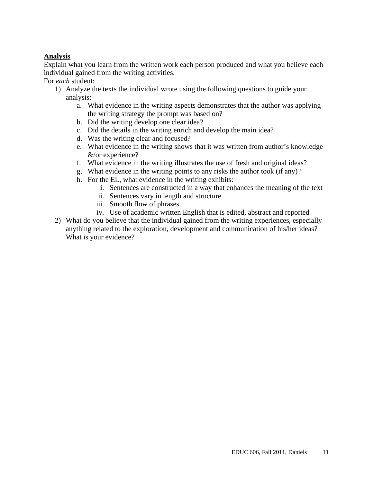# **Analysis**

Explain what you learn from the written work each person produced and what you believe each individual gained from the writing activities.

For *each* student:

- 1) Analyze the texts the individual wrote using the following questions to guide your analysis:
	- a. What evidence in the writing aspects demonstrates that the author was applying the writing strategy the prompt was based on?
	- b. Did the writing develop one clear idea?
	- c. Did the details in the writing enrich and develop the main idea?
	- d. Was the writing clear and focused?
	- e. What evidence in the writing shows that it was written from author's knowledge &/or experience?
	- f. What evidence in the writing illustrates the use of fresh and original ideas?
	- g. What evidence in the writing points to any risks the author took (if any)?
	- h. For the EL, what evidence in the writing exhibits:
		- i. Sentences are constructed in a way that enhances the meaning of the text
		- ii. Sentences vary in length and structure
		- iii. Smooth flow of phrases
		- iv. Use of academic written English that is edited, abstract and reported
- 2) What do you believe that the individual gained from the writing experiences, especially anything related to the exploration, development and communication of his/her ideas? What is your evidence?